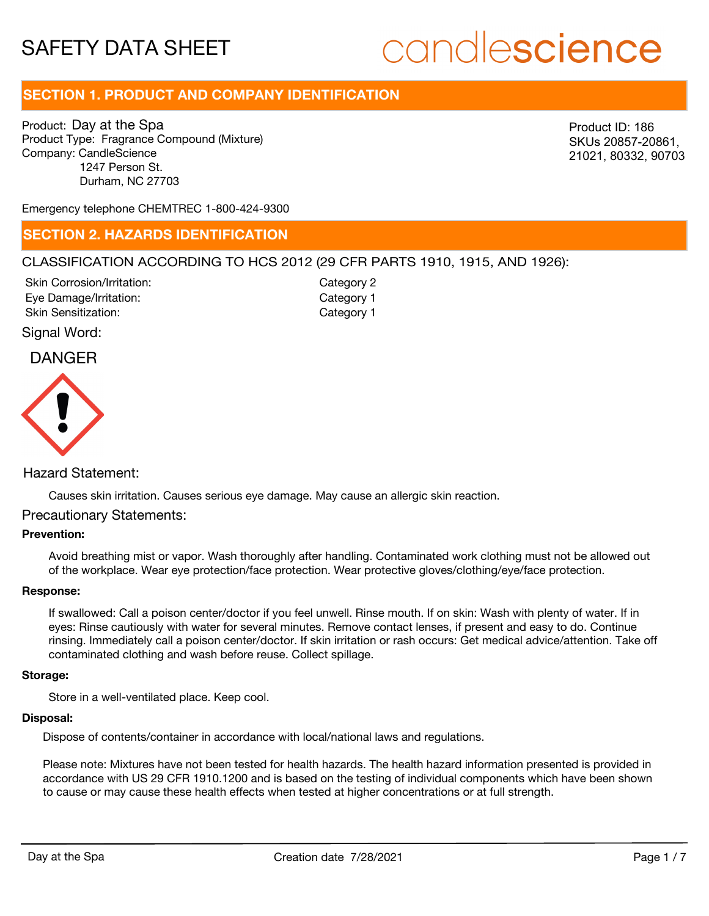# candlescience

# **SECTION 1. PRODUCT AND COMPANY IDENTIFICATION**

Product: Day at the Spa Product Type: Fragrance Compound (Mixture) Company: CandleScience 1247 Person St. Durham, NC 27703

Product ID: 186 SKUs 20857-20861, 21021, 80332, 90703

Emergency telephone CHEMTREC 1-800-424-9300

### **SECTION 2. HAZARDS IDENTIFICATION**

### CLASSIFICATION ACCORDING TO HCS 2012 (29 CFR PARTS 1910, 1915, AND 1926):

Skin Corrosion/Irritation: Eye Damage/Irritation: Skin Sensitization:

Category 2 Category 1 Category 1

### Signal Word:

### DANGER



### Hazard Statement:

Causes skin irritation. Causes serious eye damage. May cause an allergic skin reaction.

### Precautionary Statements:

### **Prevention:**

Avoid breathing mist or vapor. Wash thoroughly after handling. Contaminated work clothing must not be allowed out of the workplace. Wear eye protection/face protection. Wear protective gloves/clothing/eye/face protection.

### **Response:**

If swallowed: Call a poison center/doctor if you feel unwell. Rinse mouth. If on skin: Wash with plenty of water. If in eyes: Rinse cautiously with water for several minutes. Remove contact lenses, if present and easy to do. Continue rinsing. Immediately call a poison center/doctor. If skin irritation or rash occurs: Get medical advice/attention. Take off contaminated clothing and wash before reuse. Collect spillage.

#### **Storage:**

Store in a well-ventilated place. Keep cool.

### **Disposal:**

Dispose of contents/container in accordance with local/national laws and regulations.

Please note: Mixtures have not been tested for health hazards. The health hazard information presented is provided in accordance with US 29 CFR 1910.1200 and is based on the testing of individual components which have been shown to cause or may cause these health effects when tested at higher concentrations or at full strength.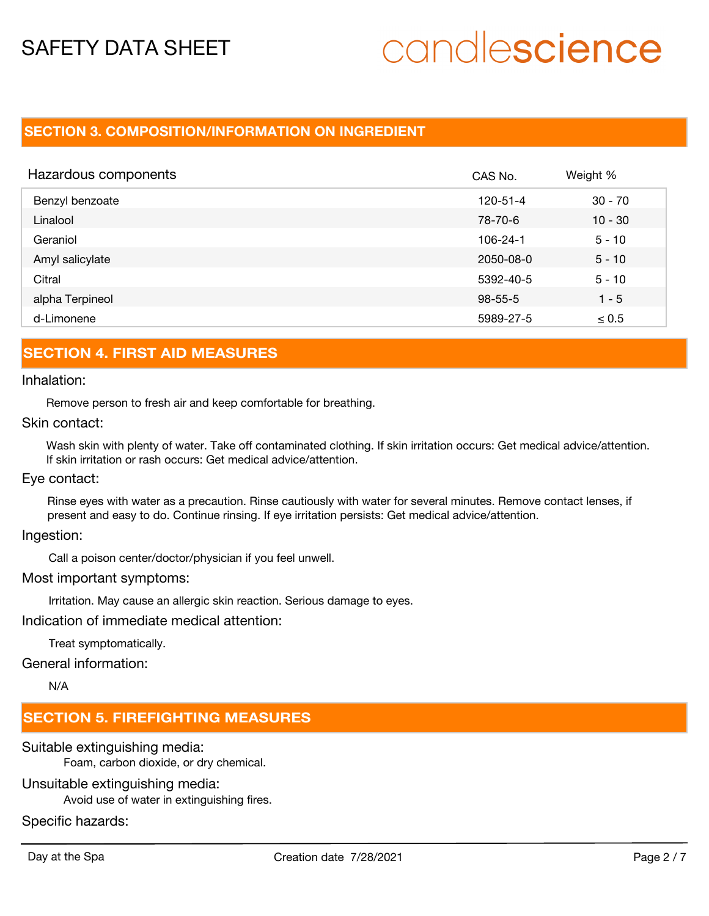# candlescience

## **SECTION 3. COMPOSITION/INFORMATION ON INGREDIENT**

| Hazardous components | CAS No.        | Weight %   |
|----------------------|----------------|------------|
| Benzyl benzoate      | $120 - 51 - 4$ | $30 - 70$  |
| Linalool             | 78-70-6        | $10 - 30$  |
| Geraniol             | $106 - 24 - 1$ | $5 - 10$   |
| Amyl salicylate      | 2050-08-0      | $5 - 10$   |
| Citral               | 5392-40-5      | $5 - 10$   |
| alpha Terpineol      | $98 - 55 - 5$  | $1 - 5$    |
| d-Limonene           | 5989-27-5      | $\leq 0.5$ |

## **SECTION 4. FIRST AID MEASURES**

### Inhalation:

Remove person to fresh air and keep comfortable for breathing.

### Skin contact:

Wash skin with plenty of water. Take off contaminated clothing. If skin irritation occurs: Get medical advice/attention. If skin irritation or rash occurs: Get medical advice/attention.

### Eye contact:

Rinse eyes with water as a precaution. Rinse cautiously with water for several minutes. Remove contact lenses, if present and easy to do. Continue rinsing. If eye irritation persists: Get medical advice/attention.

Ingestion:

Call a poison center/doctor/physician if you feel unwell.

### Most important symptoms:

Irritation. May cause an allergic skin reaction. Serious damage to eyes.

Indication of immediate medical attention:

Treat symptomatically.

### General information:

N/A

# **SECTION 5. FIREFIGHTING MEASURES**

Suitable extinguishing media:

Foam, carbon dioxide, or dry chemical.

Unsuitable extinguishing media:

Avoid use of water in extinguishing fires.

Specific hazards: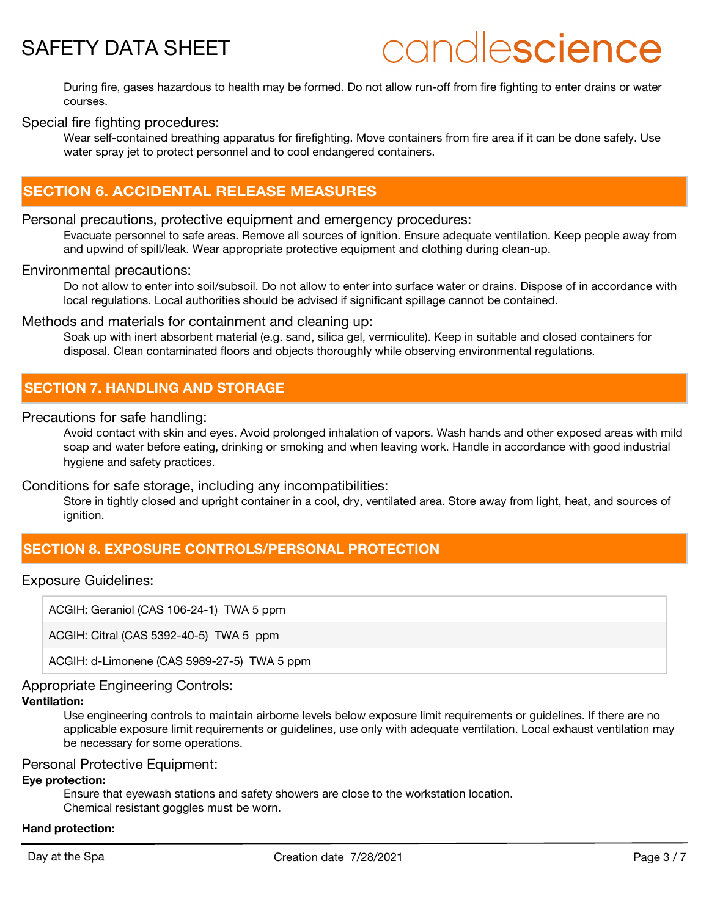# candlescience

During fire, gases hazardous to health may be formed. Do not allow run-off from fire fighting to enter drains or water courses.

### Special fire fighting procedures:

Wear self-contained breathing apparatus for firefighting. Move containers from fire area if it can be done safely. Use water spray jet to protect personnel and to cool endangered containers.

# **SECTION 6. ACCIDENTAL RELEASE MEASURES**

### Personal precautions, protective equipment and emergency procedures:

Evacuate personnel to safe areas. Remove all sources of ignition. Ensure adequate ventilation. Keep people away from and upwind of spill/leak. Wear appropriate protective equipment and clothing during clean-up.

### Environmental precautions:

Do not allow to enter into soil/subsoil. Do not allow to enter into surface water or drains. Dispose of in accordance with local regulations. Local authorities should be advised if significant spillage cannot be contained.

### Methods and materials for containment and cleaning up:

Soak up with inert absorbent material (e.g. sand, silica gel, vermiculite). Keep in suitable and closed containers for disposal. Clean contaminated floors and objects thoroughly while observing environmental regulations.

### **SECTION 7. HANDLING AND STORAGE**

### Precautions for safe handling:

Avoid contact with skin and eyes. Avoid prolonged inhalation of vapors. Wash hands and other exposed areas with mild soap and water before eating, drinking or smoking and when leaving work. Handle in accordance with good industrial hygiene and safety practices.

### Conditions for safe storage, including any incompatibilities:

Store in tightly closed and upright container in a cool, dry, ventilated area. Store away from light, heat, and sources of ignition.

## **SECTION 8. EXPOSURE CONTROLS/PERSONAL PROTECTION**

### Exposure Guidelines:

ACGIH: Geraniol (CAS 106-24-1) TWA 5 ppm

ACGIH: Citral (CAS 5392-40-5) TWA 5 ppm

ACGIH: d-Limonene (CAS 5989-27-5) TWA 5 ppm

### Appropriate Engineering Controls:

### **Ventilation:**

Use engineering controls to maintain airborne levels below exposure limit requirements or guidelines. If there are no applicable exposure limit requirements or guidelines, use only with adequate ventilation. Local exhaust ventilation may be necessary for some operations.

### Personal Protective Equipment:

### **Eye protection:**

Ensure that eyewash stations and safety showers are close to the workstation location. Chemical resistant goggles must be worn.

### **Hand protection:**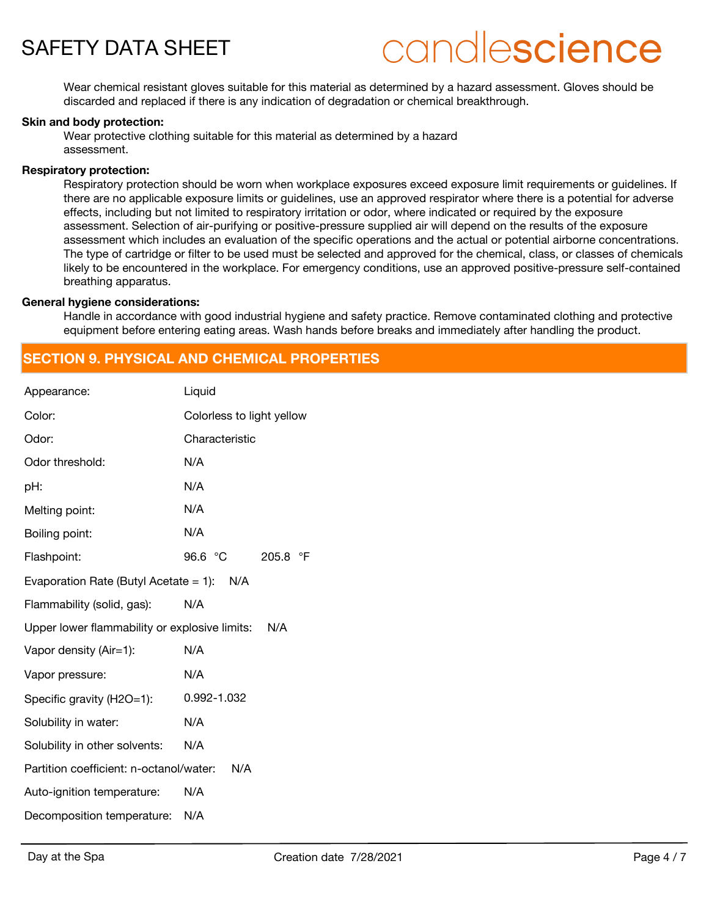

# candlescience

Wear chemical resistant gloves suitable for this material as determined by a hazard assessment. Gloves should be discarded and replaced if there is any indication of degradation or chemical breakthrough.

### **Skin and body protection:**

Wear protective clothing suitable for this material as determined by a hazard assessment.

#### **Respiratory protection:**

Respiratory protection should be worn when workplace exposures exceed exposure limit requirements or guidelines. If there are no applicable exposure limits or guidelines, use an approved respirator where there is a potential for adverse effects, including but not limited to respiratory irritation or odor, where indicated or required by the exposure assessment. Selection of air-purifying or positive-pressure supplied air will depend on the results of the exposure assessment which includes an evaluation of the specific operations and the actual or potential airborne concentrations. The type of cartridge or filter to be used must be selected and approved for the chemical, class, or classes of chemicals likely to be encountered in the workplace. For emergency conditions, use an approved positive-pressure self-contained breathing apparatus.

#### **General hygiene considerations:**

Handle in accordance with good industrial hygiene and safety practice. Remove contaminated clothing and protective equipment before entering eating areas. Wash hands before breaks and immediately after handling the product.

## **SECTION 9. PHYSICAL AND CHEMICAL PROPERTIES**

| Appearance:                                   | Liquid                        |
|-----------------------------------------------|-------------------------------|
| Color:                                        | Colorless to light yellow     |
| Odor:                                         | Characteristic                |
| Odor threshold:                               | N/A                           |
| pH:                                           | N/A                           |
| Melting point:                                | N/A                           |
| Boiling point:                                | N/A                           |
| Flashpoint:                                   | 96.6 °C<br>$\circ$ F<br>205.8 |
| Evaporation Rate (Butyl Acetate = 1): $N/A$   |                               |
| Flammability (solid, gas):                    | N/A                           |
| Upper lower flammability or explosive limits: | N/A                           |
| Vapor density (Air=1):                        | N/A                           |
| Vapor pressure:                               | N/A                           |
| Specific gravity (H2O=1):                     | 0.992-1.032                   |
| Solubility in water:                          | N/A                           |
| Solubility in other solvents:                 | N/A                           |
| Partition coefficient: n-octanol/water:       | N/A                           |
| Auto-ignition temperature:                    | N/A                           |
| Decomposition temperature:                    | N/A                           |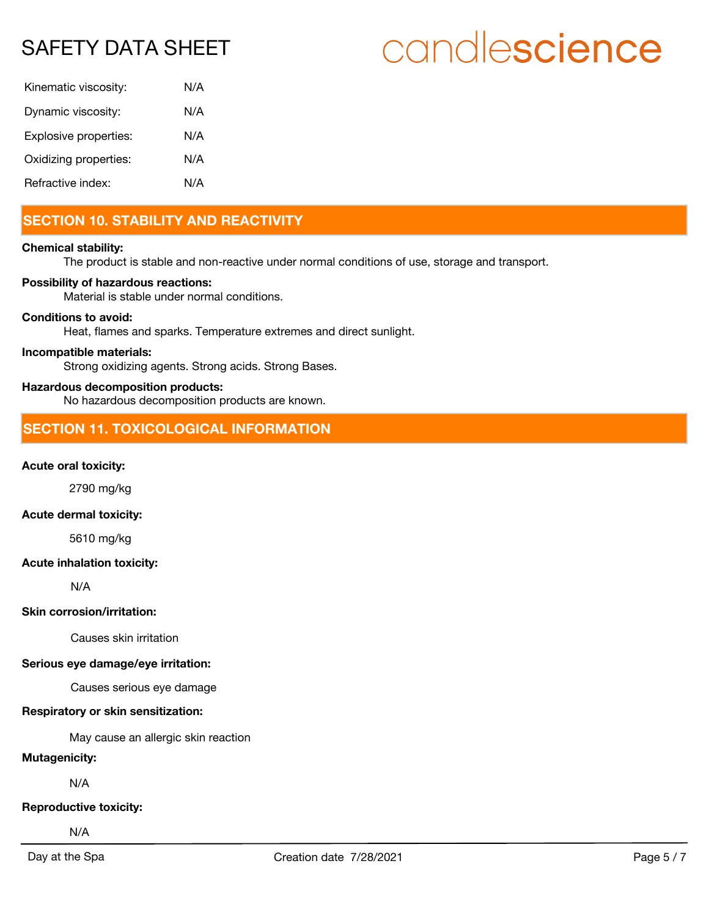# candlescience

| Kinematic viscosity:  | N/A |
|-----------------------|-----|
| Dynamic viscosity:    | N/A |
| Explosive properties: | N/A |
| Oxidizing properties: | N/A |
| Refractive index:     | N/A |

# **SECTION 10. STABILITY AND REACTIVITY**

### **Chemical stability:**

The product is stable and non-reactive under normal conditions of use, storage and transport.

### **Possibility of hazardous reactions:**

Material is stable under normal conditions.

### **Conditions to avoid:**

Heat, flames and sparks. Temperature extremes and direct sunlight.

### **Incompatible materials:**

Strong oxidizing agents. Strong acids. Strong Bases.

### **Hazardous decomposition products:**

No hazardous decomposition products are known.

# **SECTION 11. TOXICOLOGICAL INFORMATION**

### **Acute oral toxicity:**

2790 mg/kg

### **Acute dermal toxicity:**

5610 mg/kg

### **Acute inhalation toxicity:**

N/A

### **Skin corrosion/irritation:**

Causes skin irritation

### **Serious eye damage/eye irritation:**

Causes serious eye damage

### **Respiratory or skin sensitization:**

May cause an allergic skin reaction

### **Mutagenicity:**

N/A

### **Reproductive toxicity:**

N/A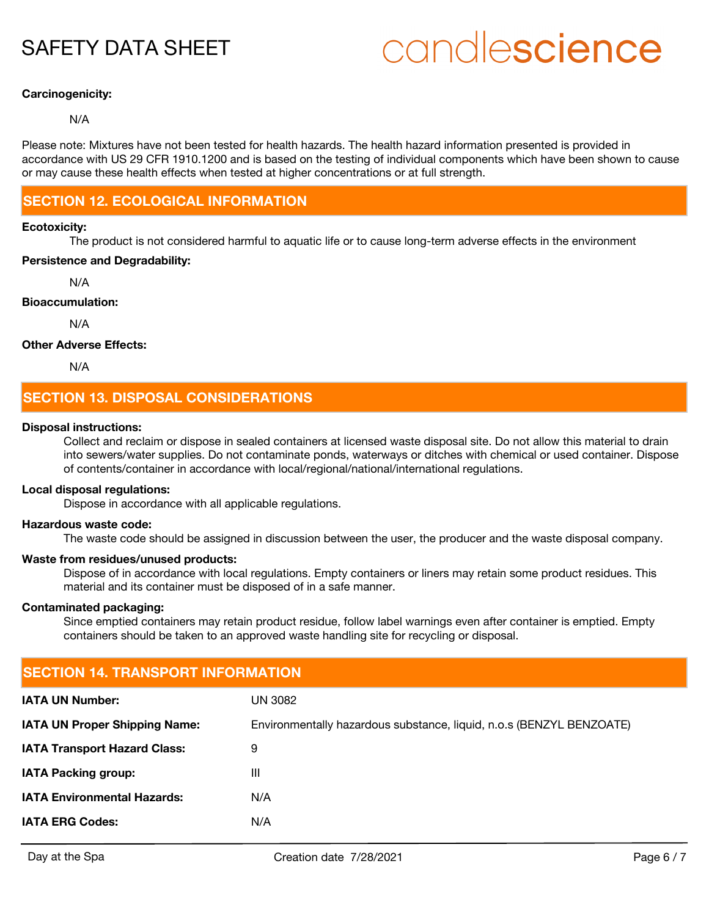# candlescience

### **Carcinogenicity:**

### N/A

Please note: Mixtures have not been tested for health hazards. The health hazard information presented is provided in accordance with US 29 CFR 1910.1200 and is based on the testing of individual components which have been shown to cause or may cause these health effects when tested at higher concentrations or at full strength.

# **SECTION 12. ECOLOGICAL INFORMATION**

### **Ecotoxicity:**

The product is not considered harmful to aquatic life or to cause long-term adverse effects in the environment

### **Persistence and Degradability:**

N/A

### **Bioaccumulation:**

N/A

### **Other Adverse Effects:**

N/A

## **SECTION 13. DISPOSAL CONSIDERATIONS**

### **Disposal instructions:**

Collect and reclaim or dispose in sealed containers at licensed waste disposal site. Do not allow this material to drain into sewers/water supplies. Do not contaminate ponds, waterways or ditches with chemical or used container. Dispose of contents/container in accordance with local/regional/national/international regulations.

### **Local disposal regulations:**

Dispose in accordance with all applicable regulations.

#### **Hazardous waste code:**

The waste code should be assigned in discussion between the user, the producer and the waste disposal company.

### **Waste from residues/unused products:**

Dispose of in accordance with local regulations. Empty containers or liners may retain some product residues. This material and its container must be disposed of in a safe manner.

### **Contaminated packaging:**

Since emptied containers may retain product residue, follow label warnings even after container is emptied. Empty containers should be taken to an approved waste handling site for recycling or disposal.

| <b>SECTION 14. TRANSPORT INFORMATION</b> |                                                                      |  |  |
|------------------------------------------|----------------------------------------------------------------------|--|--|
| <b>IATA UN Number:</b>                   | UN 3082                                                              |  |  |
| <b>IATA UN Proper Shipping Name:</b>     | Environmentally hazardous substance, liquid, n.o.s (BENZYL BENZOATE) |  |  |
| <b>IATA Transport Hazard Class:</b>      | 9                                                                    |  |  |
| <b>IATA Packing group:</b>               | $\mathbf{III}$                                                       |  |  |
| <b>IATA Environmental Hazards:</b>       | N/A                                                                  |  |  |
| <b>IATA ERG Codes:</b>                   | N/A                                                                  |  |  |
|                                          |                                                                      |  |  |